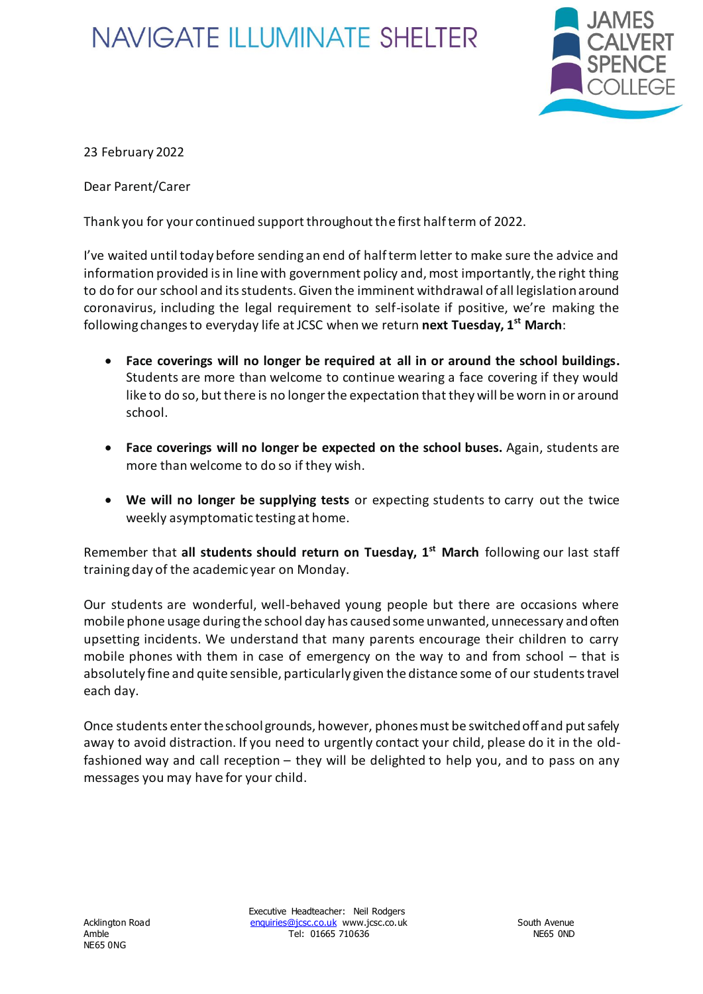## **NAVIGATE ILLUMINATE SHELTER**



23 February 2022

Dear Parent/Carer

Thank you for your continued support throughout the first half term of 2022.

I've waited until today before sending an end of half term letter to make sure the advice and information provided is in line with government policy and, most importantly, the right thing to do for our school and its students. Given the imminent withdrawal of all legislation around coronavirus, including the legal requirement to self-isolate if positive, we're making the following changes to everyday life at JCSC when we return **next Tuesday, 1st March**:

- **Face coverings will no longer be required at all in or around the school buildings.** Students are more than welcome to continue wearing a face covering if they would like to do so, but there is no longer the expectation that they will be worn in or around school.
- **Face coverings will no longer be expected on the school buses.** Again, students are more than welcome to do so if they wish.
- **We will no longer be supplying tests** or expecting students to carry out the twice weekly asymptomatic testing at home.

Remember that **all students should return on Tuesday, 1st March** following our last staff training day of the academic year on Monday.

Our students are wonderful, well-behaved young people but there are occasions where mobile phone usage during the school day has caused some unwanted, unnecessary and often upsetting incidents. We understand that many parents encourage their children to carry mobile phones with them in case of emergency on the way to and from school – that is absolutely fine and quite sensible, particularly given the distance some of our students travel each day.

Once students enter the school grounds, however, phonesmust be switched off and put safely away to avoid distraction. If you need to urgently contact your child, please do it in the oldfashioned way and call reception – they will be delighted to help you, and to pass on any messages you may have for your child.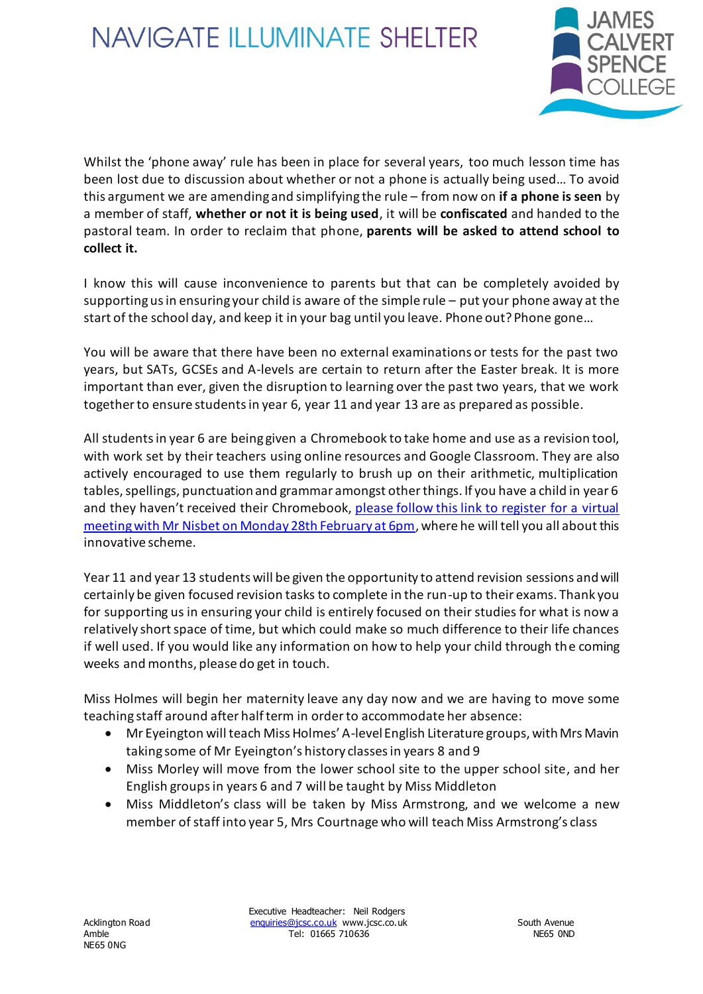## **NAVIGATE ILLUMINATE SHELTER**



Whilst the 'phone away' rule has been in place for several years, too much lesson time has been lost due to discussion about whether or not a phone is actually being used… To avoid this argument we are amending and simplifying the rule – from now on **if a phone is seen** by a member of staff, **whether or not it is being used**, it will be **confiscated** and handed to the pastoral team. In order to reclaim that phone, **parents will be asked to attend school to collect it.**

I know this will cause inconvenience to parents but that can be completely avoided by supporting us in ensuring your child is aware of the simple rule – put your phone away at the start of the school day, and keep it in your bag until you leave. Phone out? Phone gone…

You will be aware that there have been no external examinations or tests for the past two years, but SATs, GCSEs and A-levels are certain to return after the Easter break. It is more important than ever, given the disruption to learning over the past two years, that we work together to ensure students in year 6, year 11 and year 13 are as prepared as possible.

All students in year 6 are being given a Chromebook to take home and use as a revision tool, with work set by their teachers using online resources and Google Classroom. They are also actively encouraged to use them regularly to brush up on their arithmetic, multiplication tables, spellings, punctuation and grammar amongst other things. If you have a child in year 6 and they haven't received their Chromebook, please follow this link to register for a virtual [meeting with Mr Nisbet on Monday 28th February at 6pm,](https://forms.office.com/Pages/ResponsePage.aspx?id=DPahrxLBiUe50sRrwmHy3mHA8rQ3nHdLjIOKA67l0VdUMTRXVlk3RjMzMTUwWTZYNUJKM0tKUTBSRC4u) where he will tell you all about this innovative scheme.

Year 11 and year 13 students will be given the opportunity to attend revision sessions and will certainly be given focused revision tasks to complete in the run-up to their exams. Thank you for supporting us in ensuring your child is entirely focused on their studies for what is now a relatively short space of time, but which could make so much difference to their life chances if well used. If you would like any information on how to help your child through the coming weeks and months, please do get in touch.

Miss Holmes will begin her maternity leave any day now and we are having to move some teaching staff around after half term in order to accommodate her absence:

- Mr Eyeington will teach Miss Holmes' A-level English Literature groups, with Mrs Mavin taking some of Mr Eyeington's history classes in years 8 and 9
- Miss Morley will move from the lower school site to the upper school site, and her English groups in years 6 and 7 will be taught by Miss Middleton
- Miss Middleton's class will be taken by Miss Armstrong, and we welcome a new member of staff into year 5, Mrs Courtnage who will teach Miss Armstrong's class